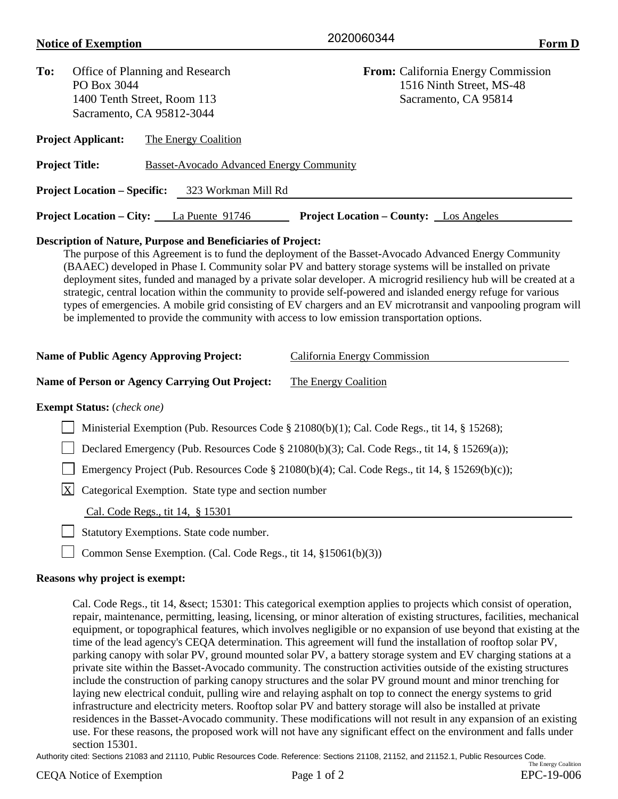## **Notice of Exemption** Eventually 2020000344

2020060344

| To:                                                                  | Office of Planning and Research<br>PO Box 3044<br>1400 Tenth Street, Room 113<br>Sacramento, CA 95812-3044 |  |                                                                 | <b>From:</b> California Energy Commission<br>1516 Ninth Street, MS-48<br>Sacramento, CA 95814                                                                                                                                                                                                                                                                                                                                                                                                                                                                                                                                                                                                                    |  |  |  |
|----------------------------------------------------------------------|------------------------------------------------------------------------------------------------------------|--|-----------------------------------------------------------------|------------------------------------------------------------------------------------------------------------------------------------------------------------------------------------------------------------------------------------------------------------------------------------------------------------------------------------------------------------------------------------------------------------------------------------------------------------------------------------------------------------------------------------------------------------------------------------------------------------------------------------------------------------------------------------------------------------------|--|--|--|
|                                                                      | <b>Project Applicant:</b>                                                                                  |  | The Energy Coalition                                            |                                                                                                                                                                                                                                                                                                                                                                                                                                                                                                                                                                                                                                                                                                                  |  |  |  |
|                                                                      | <b>Project Title:</b>                                                                                      |  | <b>Basset-Avocado Advanced Energy Community</b>                 |                                                                                                                                                                                                                                                                                                                                                                                                                                                                                                                                                                                                                                                                                                                  |  |  |  |
|                                                                      | <b>Project Location – Specific:</b>                                                                        |  | 323 Workman Mill Rd                                             |                                                                                                                                                                                                                                                                                                                                                                                                                                                                                                                                                                                                                                                                                                                  |  |  |  |
|                                                                      |                                                                                                            |  | <b>Project Location – City:</b> La Puente 91746                 | <b>Project Location – County:</b> Los Angeles                                                                                                                                                                                                                                                                                                                                                                                                                                                                                                                                                                                                                                                                    |  |  |  |
|                                                                      | <b>Name of Public Agency Approving Project:</b>                                                            |  |                                                                 | The purpose of this Agreement is to fund the deployment of the Basset-Avocado Advanced Energy Community<br>(BAAEC) developed in Phase I. Community solar PV and battery storage systems will be installed on private<br>deployment sites, funded and managed by a private solar developer. A microgrid resiliency hub will be created at a<br>strategic, central location within the community to provide self-powered and islanded energy refuge for various<br>types of emergencies. A mobile grid consisting of EV chargers and an EV microtransit and vanpooling program will<br>be implemented to provide the community with access to low emission transportation options.<br>California Energy Commission |  |  |  |
| <b>Name of Person or Agency Carrying Out Project:</b>                |                                                                                                            |  |                                                                 | The Energy Coalition                                                                                                                                                                                                                                                                                                                                                                                                                                                                                                                                                                                                                                                                                             |  |  |  |
|                                                                      | <b>Exempt Status:</b> (check one)                                                                          |  |                                                                 |                                                                                                                                                                                                                                                                                                                                                                                                                                                                                                                                                                                                                                                                                                                  |  |  |  |
|                                                                      |                                                                                                            |  |                                                                 | Ministerial Exemption (Pub. Resources Code § 21080(b)(1); Cal. Code Regs., tit 14, § 15268);                                                                                                                                                                                                                                                                                                                                                                                                                                                                                                                                                                                                                     |  |  |  |
|                                                                      | Declared Emergency (Pub. Resources Code § 21080(b)(3); Cal. Code Regs., tit 14, § 15269(a));               |  |                                                                 |                                                                                                                                                                                                                                                                                                                                                                                                                                                                                                                                                                                                                                                                                                                  |  |  |  |
|                                                                      | Emergency Project (Pub. Resources Code § 21080(b)(4); Cal. Code Regs., tit 14, § 15269(b)(c));             |  |                                                                 |                                                                                                                                                                                                                                                                                                                                                                                                                                                                                                                                                                                                                                                                                                                  |  |  |  |
| $\mathbf{X}$<br>Categorical Exemption. State type and section number |                                                                                                            |  |                                                                 |                                                                                                                                                                                                                                                                                                                                                                                                                                                                                                                                                                                                                                                                                                                  |  |  |  |
|                                                                      |                                                                                                            |  | Cal. Code Regs., tit 14, § 15301                                |                                                                                                                                                                                                                                                                                                                                                                                                                                                                                                                                                                                                                                                                                                                  |  |  |  |
|                                                                      |                                                                                                            |  | Statutory Exemptions. State code number.                        |                                                                                                                                                                                                                                                                                                                                                                                                                                                                                                                                                                                                                                                                                                                  |  |  |  |
|                                                                      |                                                                                                            |  | Common Sense Exemption. (Cal. Code Regs., tit 14, §15061(b)(3)) |                                                                                                                                                                                                                                                                                                                                                                                                                                                                                                                                                                                                                                                                                                                  |  |  |  |

## **Reasons why project is exempt:**

Cal. Code Regs., tit 14, & sect; 15301: This categorical exemption applies to projects which consist of operation, repair, maintenance, permitting, leasing, licensing, or minor alteration of existing structures, facilities, mechanical equipment, or topographical features, which involves negligible or no expansion of use beyond that existing at the time of the lead agency's CEQA determination. This agreement will fund the installation of rooftop solar PV, parking canopy with solar PV, ground mounted solar PV, a battery storage system and EV charging stations at a private site within the Basset-Avocado community. The construction activities outside of the existing structures include the construction of parking canopy structures and the solar PV ground mount and minor trenching for laying new electrical conduit, pulling wire and relaying asphalt on top to connect the energy systems to grid infrastructure and electricity meters. Rooftop solar PV and battery storage will also be installed at private residences in the Basset-Avocado community. These modifications will not result in any expansion of an existing use. For these reasons, the proposed work will not have any significant effect on the environment and falls under section 15301.

Authority cited: Sections 21083 and 21110, Public Resources Code. Reference: Sections 21108, 21152, and 21152.1, Public Resources Code.